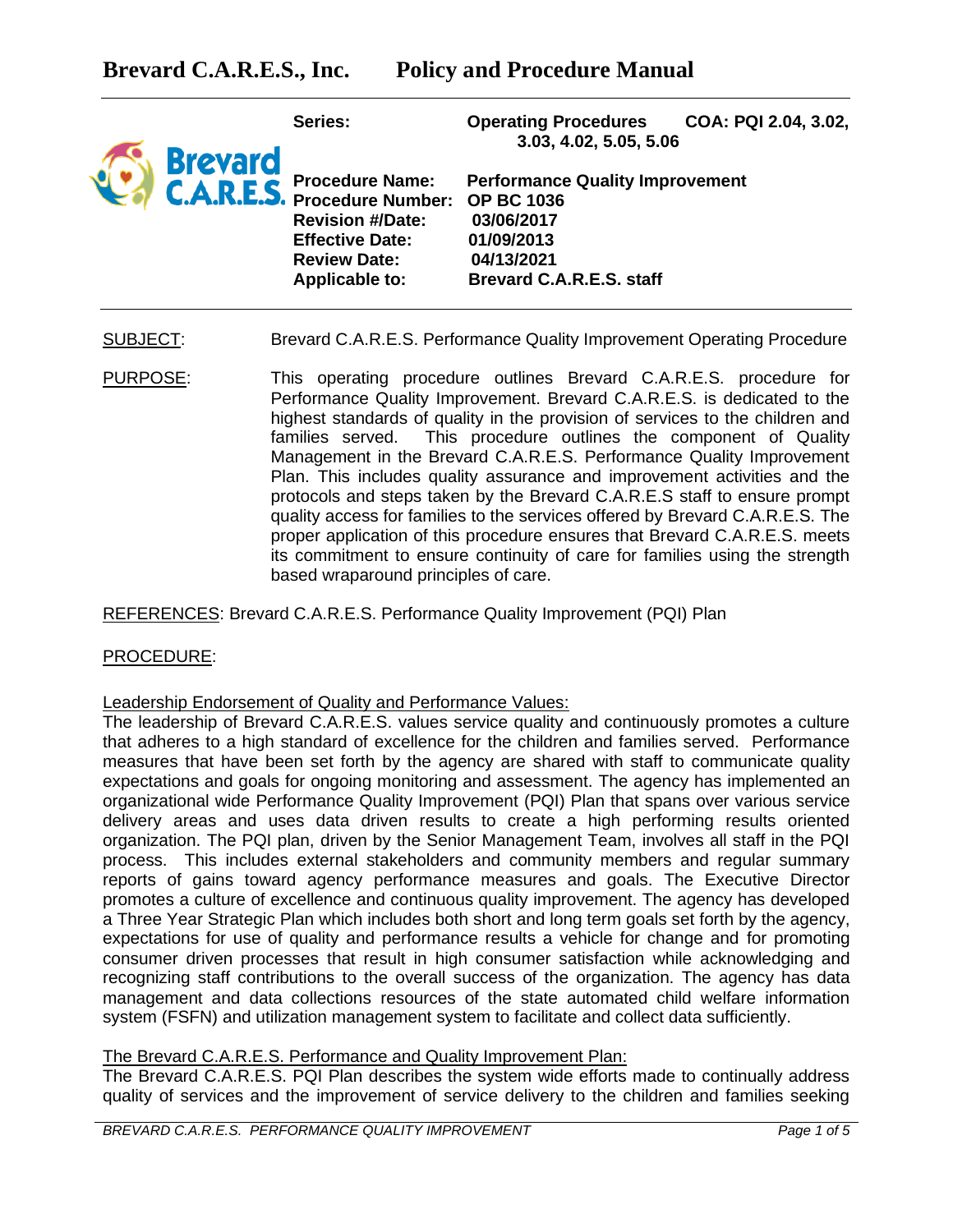

**Series: Operating Procedures COA: PQI 2.04, 3.02, 3.03, 4.02, 5.05, 5.06**

**Procedure Name: Performance Quality Improvement Procedure Number: OP BC 1036 Revision #/Date: 03/06/2017 Effective Date: 01/09/2013 Review Date: 04/13/2021 Applicable to: Brevard C.A.R.E.S. staff**

SUBJECT: Brevard C.A.R.E.S. Performance Quality Improvement Operating Procedure

PURPOSE: This operating procedure outlines Brevard C.A.R.E.S. procedure for Performance Quality Improvement. Brevard C.A.R.E.S. is dedicated to the highest standards of quality in the provision of services to the children and families served. This procedure outlines the component of Quality Management in the Brevard C.A.R.E.S. Performance Quality Improvement Plan. This includes quality assurance and improvement activities and the protocols and steps taken by the Brevard C.A.R.E.S staff to ensure prompt quality access for families to the services offered by Brevard C.A.R.E.S. The proper application of this procedure ensures that Brevard C.A.R.E.S. meets its commitment to ensure continuity of care for families using the strength based wraparound principles of care.

REFERENCES: Brevard C.A.R.E.S. Performance Quality Improvement (PQI) Plan

## PROCEDURE:

#### Leadership Endorsement of Quality and Performance Values:

The leadership of Brevard C.A.R.E.S. values service quality and continuously promotes a culture that adheres to a high standard of excellence for the children and families served. Performance measures that have been set forth by the agency are shared with staff to communicate quality expectations and goals for ongoing monitoring and assessment. The agency has implemented an organizational wide Performance Quality Improvement (PQI) Plan that spans over various service delivery areas and uses data driven results to create a high performing results oriented organization. The PQI plan, driven by the Senior Management Team, involves all staff in the PQI process. This includes external stakeholders and community members and regular summary reports of gains toward agency performance measures and goals. The Executive Director promotes a culture of excellence and continuous quality improvement. The agency has developed a Three Year Strategic Plan which includes both short and long term goals set forth by the agency, expectations for use of quality and performance results a vehicle for change and for promoting consumer driven processes that result in high consumer satisfaction while acknowledging and recognizing staff contributions to the overall success of the organization. The agency has data management and data collections resources of the state automated child welfare information system (FSFN) and utilization management system to facilitate and collect data sufficiently.

## The Brevard C.A.R.E.S. Performance and Quality Improvement Plan:

The Brevard C.A.R.E.S. PQI Plan describes the system wide efforts made to continually address quality of services and the improvement of service delivery to the children and families seeking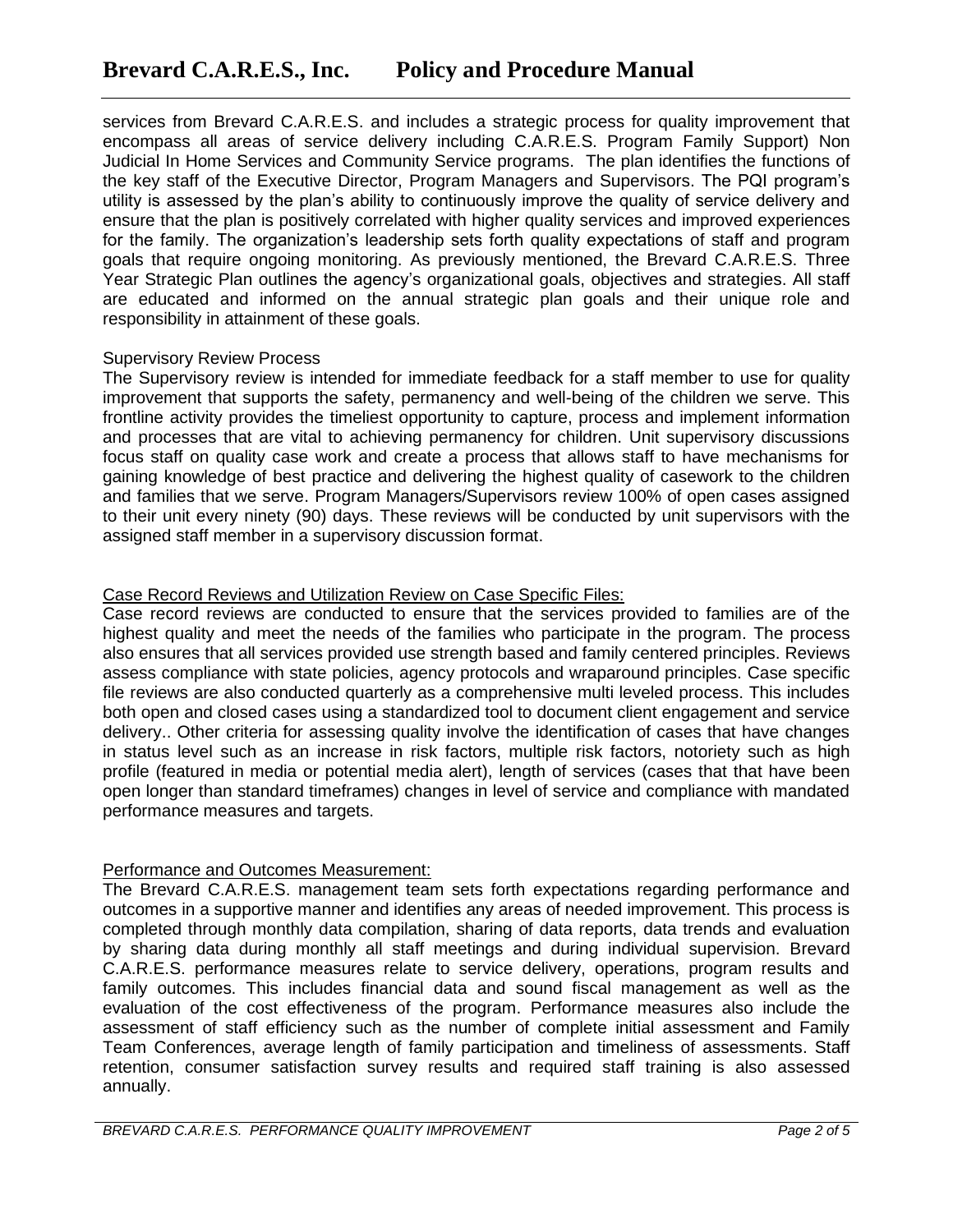services from Brevard C.A.R.E.S. and includes a strategic process for quality improvement that encompass all areas of service delivery including C.A.R.E.S. Program Family Support) Non Judicial In Home Services and Community Service programs. The plan identifies the functions of the key staff of the Executive Director, Program Managers and Supervisors. The PQI program's utility is assessed by the plan's ability to continuously improve the quality of service delivery and ensure that the plan is positively correlated with higher quality services and improved experiences for the family. The organization's leadership sets forth quality expectations of staff and program goals that require ongoing monitoring. As previously mentioned, the Brevard C.A.R.E.S. Three Year Strategic Plan outlines the agency's organizational goals, objectives and strategies. All staff are educated and informed on the annual strategic plan goals and their unique role and responsibility in attainment of these goals.

#### Supervisory Review Process

The Supervisory review is intended for immediate feedback for a staff member to use for quality improvement that supports the safety, permanency and well-being of the children we serve. This frontline activity provides the timeliest opportunity to capture, process and implement information and processes that are vital to achieving permanency for children. Unit supervisory discussions focus staff on quality case work and create a process that allows staff to have mechanisms for gaining knowledge of best practice and delivering the highest quality of casework to the children and families that we serve. Program Managers/Supervisors review 100% of open cases assigned to their unit every ninety (90) days. These reviews will be conducted by unit supervisors with the assigned staff member in a supervisory discussion format.

## Case Record Reviews and Utilization Review on Case Specific Files:

Case record reviews are conducted to ensure that the services provided to families are of the highest quality and meet the needs of the families who participate in the program. The process also ensures that all services provided use strength based and family centered principles. Reviews assess compliance with state policies, agency protocols and wraparound principles. Case specific file reviews are also conducted quarterly as a comprehensive multi leveled process. This includes both open and closed cases using a standardized tool to document client engagement and service delivery.. Other criteria for assessing quality involve the identification of cases that have changes in status level such as an increase in risk factors, multiple risk factors, notoriety such as high profile (featured in media or potential media alert), length of services (cases that that have been open longer than standard timeframes) changes in level of service and compliance with mandated performance measures and targets.

## Performance and Outcomes Measurement:

The Brevard C.A.R.E.S. management team sets forth expectations regarding performance and outcomes in a supportive manner and identifies any areas of needed improvement. This process is completed through monthly data compilation, sharing of data reports, data trends and evaluation by sharing data during monthly all staff meetings and during individual supervision. Brevard C.A.R.E.S. performance measures relate to service delivery, operations, program results and family outcomes. This includes financial data and sound fiscal management as well as the evaluation of the cost effectiveness of the program. Performance measures also include the assessment of staff efficiency such as the number of complete initial assessment and Family Team Conferences, average length of family participation and timeliness of assessments. Staff retention, consumer satisfaction survey results and required staff training is also assessed annually.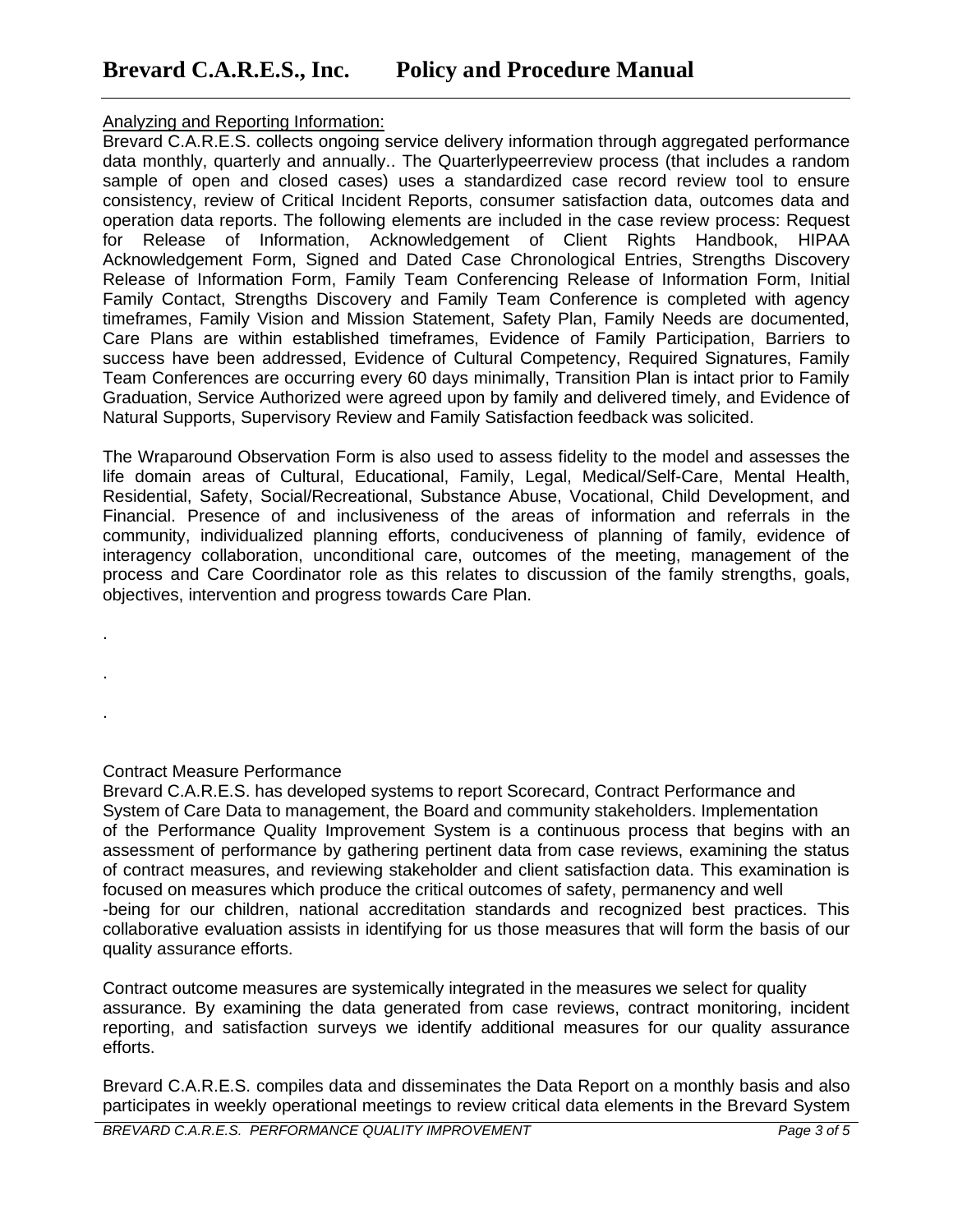# Analyzing and Reporting Information:

Brevard C.A.R.E.S. collects ongoing service delivery information through aggregated performance data monthly, quarterly and annually.. The Quarterlypeerreview process (that includes a random sample of open and closed cases) uses a standardized case record review tool to ensure consistency, review of Critical Incident Reports, consumer satisfaction data, outcomes data and operation data reports. The following elements are included in the case review process: Request for Release of Information, Acknowledgement of Client Rights Handbook, HIPAA Acknowledgement Form, Signed and Dated Case Chronological Entries, Strengths Discovery Release of Information Form, Family Team Conferencing Release of Information Form, Initial Family Contact, Strengths Discovery and Family Team Conference is completed with agency timeframes, Family Vision and Mission Statement, Safety Plan, Family Needs are documented, Care Plans are within established timeframes, Evidence of Family Participation, Barriers to success have been addressed, Evidence of Cultural Competency, Required Signatures, Family Team Conferences are occurring every 60 days minimally, Transition Plan is intact prior to Family Graduation, Service Authorized were agreed upon by family and delivered timely, and Evidence of Natural Supports, Supervisory Review and Family Satisfaction feedback was solicited.

The Wraparound Observation Form is also used to assess fidelity to the model and assesses the life domain areas of Cultural, Educational, Family, Legal, Medical/Self-Care, Mental Health, Residential, Safety, Social/Recreational, Substance Abuse, Vocational, Child Development, and Financial. Presence of and inclusiveness of the areas of information and referrals in the community, individualized planning efforts, conduciveness of planning of family, evidence of interagency collaboration, unconditional care, outcomes of the meeting, management of the process and Care Coordinator role as this relates to discussion of the family strengths, goals, objectives, intervention and progress towards Care Plan.

Contract Measure Performance

.

.

.

Brevard C.A.R.E.S. has developed systems to report Scorecard, Contract Performance and System of Care Data to management, the Board and community stakeholders. Implementation of the Performance Quality Improvement System is a continuous process that begins with an assessment of performance by gathering pertinent data from case reviews, examining the status of contract measures, and reviewing stakeholder and client satisfaction data. This examination is focused on measures which produce the critical outcomes of safety, permanency and well -being for our children, national accreditation standards and recognized best practices. This collaborative evaluation assists in identifying for us those measures that will form the basis of our quality assurance efforts.

Contract outcome measures are systemically integrated in the measures we select for quality assurance. By examining the data generated from case reviews, contract monitoring, incident reporting, and satisfaction surveys we identify additional measures for our quality assurance efforts.

Brevard C.A.R.E.S. compiles data and disseminates the Data Report on a monthly basis and also participates in weekly operational meetings to review critical data elements in the Brevard System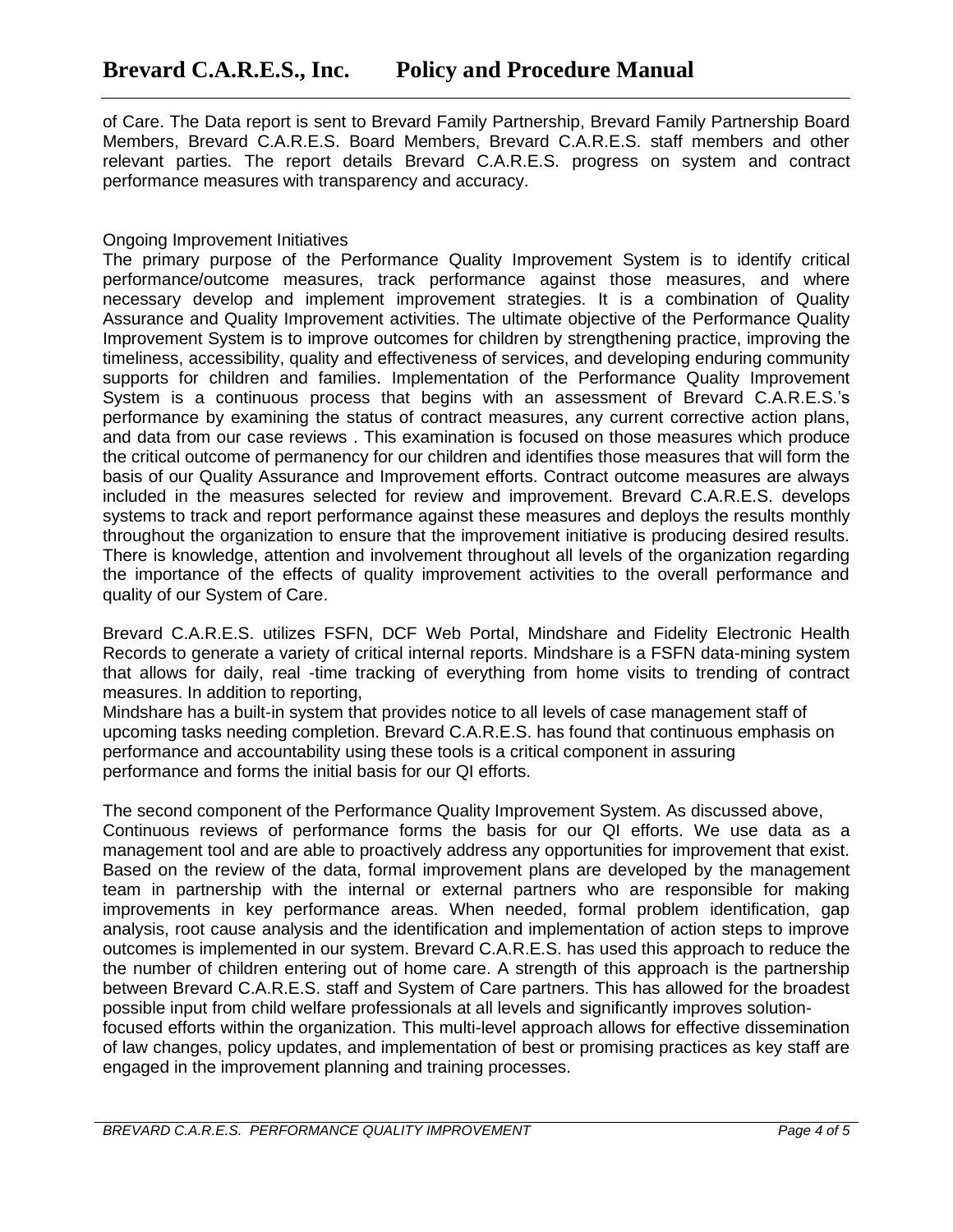of Care. The Data report is sent to Brevard Family Partnership, Brevard Family Partnership Board Members, Brevard C.A.R.E.S. Board Members, Brevard C.A.R.E.S. staff members and other relevant parties. The report details Brevard C.A.R.E.S. progress on system and contract performance measures with transparency and accuracy.

## Ongoing Improvement Initiatives

The primary purpose of the Performance Quality Improvement System is to identify critical performance/outcome measures, track performance against those measures, and where necessary develop and implement improvement strategies. It is a combination of Quality Assurance and Quality Improvement activities. The ultimate objective of the Performance Quality Improvement System is to improve outcomes for children by strengthening practice, improving the timeliness, accessibility, quality and effectiveness of services, and developing enduring community supports for children and families. Implementation of the Performance Quality Improvement System is a continuous process that begins with an assessment of Brevard C.A.R.E.S.'s performance by examining the status of contract measures, any current corrective action plans, and data from our case reviews . This examination is focused on those measures which produce the critical outcome of permanency for our children and identifies those measures that will form the basis of our Quality Assurance and Improvement efforts. Contract outcome measures are always included in the measures selected for review and improvement. Brevard C.A.R.E.S. develops systems to track and report performance against these measures and deploys the results monthly throughout the organization to ensure that the improvement initiative is producing desired results. There is knowledge, attention and involvement throughout all levels of the organization regarding the importance of the effects of quality improvement activities to the overall performance and quality of our System of Care.

Brevard C.A.R.E.S. utilizes FSFN, DCF Web Portal, Mindshare and Fidelity Electronic Health Records to generate a variety of critical internal reports. Mindshare is a FSFN data-mining system that allows for daily, real -time tracking of everything from home visits to trending of contract measures. In addition to reporting,

Mindshare has a built-in system that provides notice to all levels of case management staff of upcoming tasks needing completion. Brevard C.A.R.E.S. has found that continuous emphasis on performance and accountability using these tools is a critical component in assuring performance and forms the initial basis for our QI efforts.

The second component of the Performance Quality Improvement System. As discussed above, Continuous reviews of performance forms the basis for our QI efforts. We use data as a management tool and are able to proactively address any opportunities for improvement that exist. Based on the review of the data, formal improvement plans are developed by the management team in partnership with the internal or external partners who are responsible for making improvements in key performance areas. When needed, formal problem identification, gap analysis, root cause analysis and the identification and implementation of action steps to improve outcomes is implemented in our system. Brevard C.A.R.E.S. has used this approach to reduce the the number of children entering out of home care. A strength of this approach is the partnership between Brevard C.A.R.E.S. staff and System of Care partners. This has allowed for the broadest possible input from child welfare professionals at all levels and significantly improves solutionfocused efforts within the organization. This multi-level approach allows for effective dissemination of law changes, policy updates, and implementation of best or promising practices as key staff are engaged in the improvement planning and training processes.